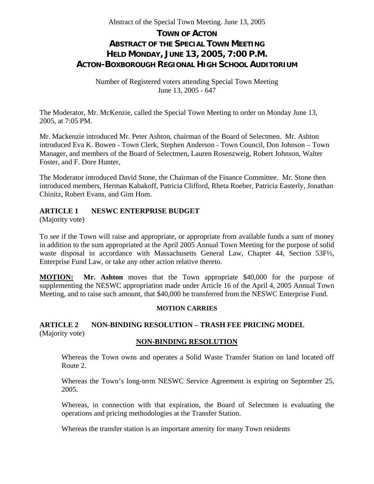# **TOWN OF ACTON ABSTRACT OF THE SPECIAL TOWN MEETING HELD MONDAY, JUNE 13, 2005, 7:00 P.M. ACTON-BOXBOROUGH REGIONAL HIGH SCHOOL AUDITORIUM**

Number of Registered voters attending Special Town Meeting June 13, 2005 - 647

The Moderator, Mr. McKenzie, called the Special Town Meeting to order on Monday June 13, 2005, at 7:05 PM.

Mr. Mackenzie introduced Mr. Peter Ashton, chairman of the Board of Selectmen. Mr. Ashton introduced Eva K. Bowen - Town Clerk, Stephen Anderson - Town Council, Don Johnson – Town Manager, and members of the Board of Selectmen, Lauren Rosenzweig, Robert Johnson, Walter Foster, and F. Dore Hunter,

The Moderator introduced David Stone, the Chairman of the Finance Committee. Mr. Stone then introduced members, Herman Kabakoff, Patricia Clifford, Rheta Roeber, Patricia Easterly, Jonathan Chinitz, Robert Evans, and Gim Hom.

## **ARTICLE 1 NESWC ENTERPRISE BUDGET**

(Majority vote)

To see if the Town will raise and appropriate, or appropriate from available funds a sum of money in addition to the sum appropriated at the April 2005 Annual Town Meeting for the purpose of solid waste disposal in accordance with Massachusetts General Law, Chapter 44, Section 53F½, Enterprise Fund Law, or take any other action relative thereto.

**MOTION: Mr. Ashton** moves that the Town appropriate \$40,000 for the purpose of supplementing the NESWC appropriation made under Article 16 of the April 4, 2005 Annual Town Meeting, and to raise such amount, that \$40,000 be transferred from the NESWC Enterprise Fund.

#### **MOTION CARRIES**

# **ARTICLE 2 NON-BINDING RESOLUTION – TRASH FEE PRICING MODEL**  (Majority vote)

#### **NON-BINDING RESOLUTION**

Whereas the Town owns and operates a Solid Waste Transfer Station on land located off Route 2.

Whereas the Town's long-term NESWC Service Agreement is expiring on September 25, 2005.

Whereas, in connection with that expiration, the Board of Selectmen is evaluating the operations and pricing methodologies at the Transfer Station.

Whereas the transfer station is an important amenity for many Town residents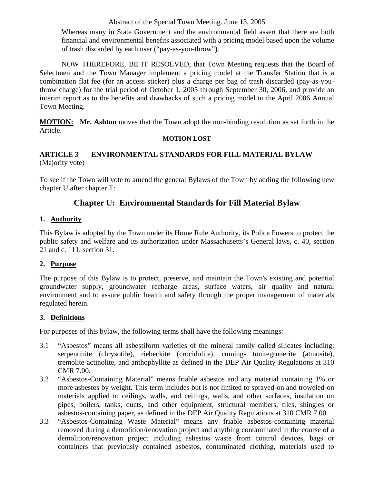Whereas many in State Government and the environmental field assert that there are both financial and environmental benefits associated with a pricing model based upon the volume of trash discarded by each user ("pay-as-you-throw").

 NOW THEREFORE, BE IT RESOLVED, that Town Meeting requests that the Board of Selectmen and the Town Manager implement a pricing model at the Transfer Station that is a combination flat fee (for an access sticker) plus a charge per bag of trash discarded (pay-as-youthrow charge) for the trial period of October 1, 2005 through September 30, 2006, and provide an interim report as to the benefits and drawbacks of such a pricing model to the April 2006 Annual Town Meeting.

**MOTION: Mr. Ashton** moves that the Town adopt the non-binding resolution as set forth in the Article.

#### **MOTION LOST**

## **ARTICLE 3 ENVIRONMENTAL STANDARDS FOR FILL MATERIAL BYLAW** (Majority vote)

To see if the Town will vote to amend the general Bylaws of the Town by adding the following new chapter U after chapter T:

# **Chapter U: Environmental Standards for Fill Material Bylaw**

# **1. Authority**

This Bylaw is adopted by the Town under its Home Rule Authority, its Police Powers to protect the public safety and welfare and its authorization under Massachusetts's General laws, c. 40, section 21 and c. 111, section 31.

## **2. Purpose**

The purpose of this Bylaw is to protect, preserve, and maintain the Town's existing and potential groundwater supply, groundwater recharge areas, surface waters, air quality and natural environment and to assure public health and safety through the proper management of materials regulated herein.

## **3. Definitions**

For purposes of this bylaw, the following terms shall have the following meanings:

- 3.1 "Asbestos" means all asbestiform varieties of the mineral family called silicates including: serpentinite (chrysotile), riebeckite (crocidolite), cuming- tonitegrunerite (atmosite), tremolite-actinolite, and anthophyllite as defined in the DEP Air Quality Regulations at 310 CMR 7.00.
- 3.2 "Asbestos-Containing Material" means friable asbestos and any material containing 1% or more asbestos by weight. This term includes but is not limited to sprayed-on and troweled-on materials applied to ceilings, walls, and ceilings, walls, and other surfaces, insulation on pipes, boilers, tanks, ducts, and other equipment, structural members, tiles, shingles or asbestos-containing paper, as defined in the DEP Air Quality Regulations at 310 CMR 7.00.
- 3.3 "Asbestos-Containing Waste Material" means any friable asbestos-containing material removed during a demolition/renovation project and anything contaminated in the course of a demolition/renovation project including asbestos waste from control devices, bags or containers that previously contained asbestos, contaminated clothing, materials used to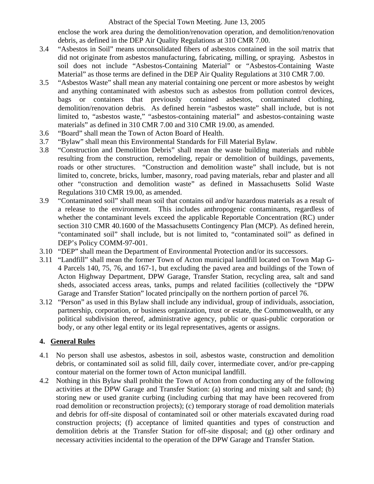enclose the work area during the demolition/renovation operation, and demolition/renovation debris, as defined in the DEP Air Quality Regulations at 310 CMR 7.00.

- 3.4 "Asbestos in Soil" means unconsolidated fibers of asbestos contained in the soil matrix that did not originate from asbestos manufacturing, fabricating, milling, or spraying. Asbestos in soil does not include "Asbestos-Containing Material" or "Asbestos-Containing Waste Material" as those terms are defined in the DEP Air Quality Regulations at 310 CMR 7.00.
- 3.5 "Asbestos Waste" shall mean any material containing one percent or more asbestos by weight and anything contaminated with asbestos such as asbestos from pollution control devices, bags or containers that previously contained asbestos, contaminated clothing, demolition/renovation debris. As defined herein "asbestos waste" shall include, but is not limited to, "asbestos waste," "asbestos-containing material" and asbestos-containing waste materials" as defined in 310 CMR 7.00 and 310 CMR 19.00, as amended.
- 3.6 "Board" shall mean the Town of Acton Board of Health.
- 3.7 "Bylaw" shall mean this Environmental Standards for Fill Material Bylaw.
- 3.8 "Construction and Demolition Debris" shall mean the waste building materials and rubble resulting from the construction, remodeling, repair or demolition of buildings, pavements, roads or other structures. "Construction and demolition waste" shall include, but is not limited to, concrete, bricks, lumber, masonry, road paving materials, rebar and plaster and all other "construction and demolition waste" as defined in Massachusetts Solid Waste Regulations 310 CMR 19.00, as amended.
- 3.9 "Contaminated soil" shall mean soil that contains oil and/or hazardous materials as a result of a release to the environment. This includes anthropogenic contaminants, regardless of whether the contaminant levels exceed the applicable Reportable Concentration (RC) under section 310 CMR 40.1600 of the Massachusetts Contingency Plan (MCP). As defined herein, "contaminated soil" shall include, but is not limited to, "contaminated soil" as defined in DEP's Policy COMM-97-001.
- 3.10 "DEP" shall mean the Department of Environmental Protection and/or its successors.
- 3.11 "Landfill" shall mean the former Town of Acton municipal landfill located on Town Map G-4 Parcels 140, 75, 76, and 167-1, but excluding the paved area and buildings of the Town of Acton Highway Department, DPW Garage, Transfer Station, recycling area, salt and sand sheds, associated access areas, tanks, pumps and related facilities (collectively the "DPW Garage and Transfer Station" located principally on the northern portion of parcel 76.
- 3.12 "Person" as used in this Bylaw shall include any individual, group of individuals, association, partnership, corporation, or business organization, trust or estate, the Commonwealth, or any political subdivision thereof, administrative agency, public or quasi-public corporation or body, or any other legal entity or its legal representatives, agents or assigns.

## **4. General Rules**

- 4.1 No person shall use asbestos, asbestos in soil, asbestos waste, construction and demolition debris, or contaminated soil as solid fill, daily cover, intermediate cover, and/or pre-capping contour material on the former town of Acton municipal landfill.
- 4.2 Nothing in this Bylaw shall prohibit the Town of Acton from conducting any of the following activities at the DPW Garage and Transfer Station: (a) storing and mixing salt and sand; (b) storing new or used granite curbing (including curbing that may have been recovered from road demolition or reconstruction projects); (c) temporary storage of road demolition materials and debris for off-site disposal of contaminated soil or other materials excavated during road construction projects; (f) acceptance of limited quantities and types of construction and demolition debris at the Transfer Station for off-site disposal; and (g) other ordinary and necessary activities incidental to the operation of the DPW Garage and Transfer Station.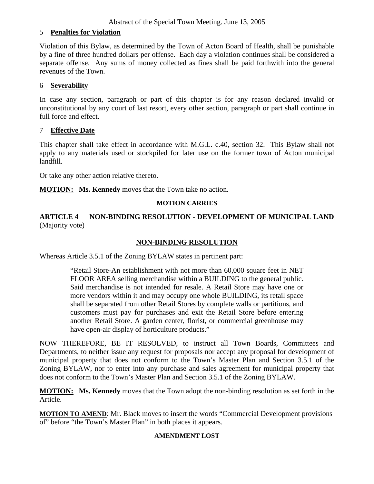## 5 **Penalties for Violation**

Violation of this Bylaw, as determined by the Town of Acton Board of Health, shall be punishable by a fine of three hundred dollars per offense. Each day a violation continues shall be considered a separate offense. Any sums of money collected as fines shall be paid forthwith into the general revenues of the Town.

## 6 **Severability**

In case any section, paragraph or part of this chapter is for any reason declared invalid or unconstitutional by any court of last resort, every other section, paragraph or part shall continue in full force and effect.

## 7 **Effective Date**

This chapter shall take effect in accordance with M.G.L. c.40, section 32. This Bylaw shall not apply to any materials used or stockpiled for later use on the former town of Acton municipal landfill.

Or take any other action relative thereto.

**MOTION:** Ms. Kennedy moves that the Town take no action.

#### **MOTION CARRIES**

**ARTICLE 4 NON-BINDING RESOLUTION - DEVELOPMENT OF MUNICIPAL LAND**  (Majority vote)

## **NON-BINDING RESOLUTION**

Whereas Article 3.5.1 of the Zoning BYLAW states in pertinent part:

"Retail Store-An establishment with not more than 60,000 square feet in NET FLOOR AREA selling merchandise within a BUILDING to the general public. Said merchandise is not intended for resale. A Retail Store may have one or more vendors within it and may occupy one whole BUILDING, its retail space shall be separated from other Retail Stores by complete walls or partitions, and customers must pay for purchases and exit the Retail Store before entering another Retail Store. A garden center, florist, or commercial greenhouse may have open-air display of horticulture products."

NOW THEREFORE, BE IT RESOLVED, to instruct all Town Boards, Committees and Departments, to neither issue any request for proposals nor accept any proposal for development of municipal property that does not conform to the Town's Master Plan and Section 3.5.1 of the Zoning BYLAW, nor to enter into any purchase and sales agreement for municipal property that does not conform to the Town's Master Plan and Section 3.5.1 of the Zoning BYLAW.

**MOTION: Ms. Kennedy** moves that the Town adopt the non-binding resolution as set forth in the Article.

**MOTION TO AMEND**: Mr. Black moves to insert the words "Commercial Development provisions of" before "the Town's Master Plan" in both places it appears.

#### **AMENDMENT LOST**